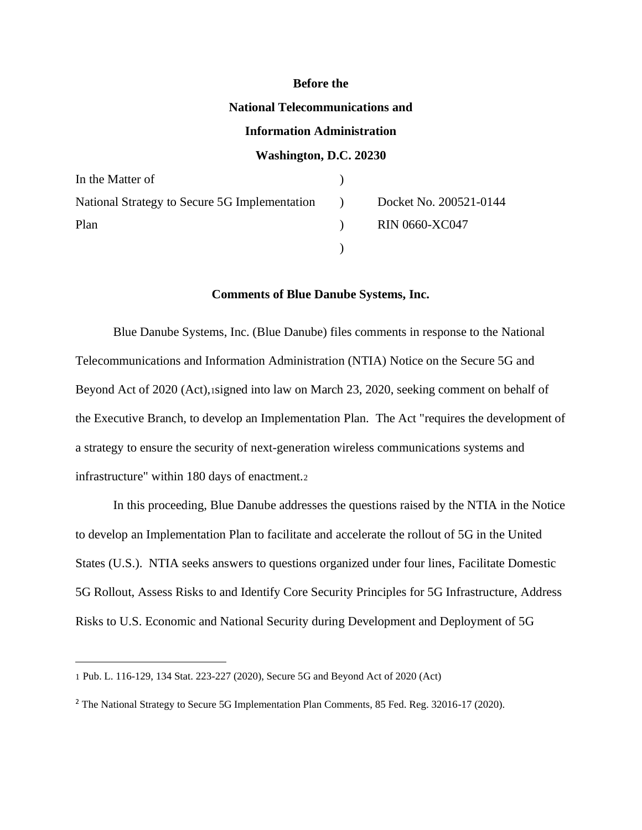#### **Before the**

#### **National Telecommunications and**

### **Information Administration**

### **Washington, D.C. 20230**

| In the Matter of                                                         |                          |                |
|--------------------------------------------------------------------------|--------------------------|----------------|
| National Strategy to Secure 5G Implementation (b) Docket No. 200521-0144 |                          |                |
| Plan                                                                     | $\overline{\phantom{a}}$ | RIN 0660-XC047 |
|                                                                          |                          |                |

### **Comments of Blue Danube Systems, Inc.**

Blue Danube Systems, Inc. (Blue Danube) files comments in response to the National Telecommunications and Information Administration (NTIA) Notice on the Secure 5G and Beyond Act of 2020 (Act),1signed into law on March 23, 2020, seeking comment on behalf of the Executive Branch, to develop an Implementation Plan. The Act "requires the development of a strategy to ensure the security of next-generation wireless communications systems and infrastructure" within 180 days of enactment.<sup>2</sup>

In this proceeding, Blue Danube addresses the questions raised by the NTIA in the Notice to develop an Implementation Plan to facilitate and accelerate the rollout of 5G in the United States (U.S.). NTIA seeks answers to questions organized under four lines, Facilitate Domestic 5G Rollout, Assess Risks to and Identify Core Security Principles for 5G Infrastructure, Address Risks to U.S. Economic and National Security during Development and Deployment of 5G

<sup>1</sup> Pub. L. 116-129, 134 Stat. 223-227 (2020), Secure 5G and Beyond Act of 2020 (Act)

<sup>2</sup> The National Strategy to Secure 5G Implementation Plan Comments, 85 Fed. Reg. 32016-17 (2020).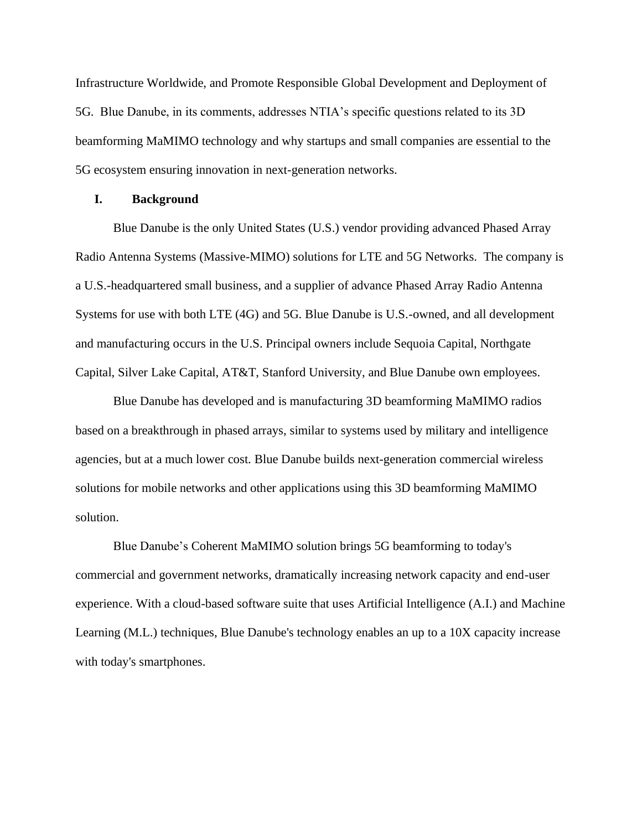Infrastructure Worldwide, and Promote Responsible Global Development and Deployment of 5G. Blue Danube, in its comments, addresses NTIA's specific questions related to its 3D beamforming MaMIMO technology and why startups and small companies are essential to the 5G ecosystem ensuring innovation in next-generation networks.

#### **I. Background**

Blue Danube is the only United States (U.S.) vendor providing advanced Phased Array Radio Antenna Systems (Massive-MIMO) solutions for LTE and 5G Networks. The company is a U.S.-headquartered small business, and a supplier of advance Phased Array Radio Antenna Systems for use with both LTE (4G) and 5G. Blue Danube is U.S.-owned, and all development and manufacturing occurs in the U.S. Principal owners include Sequoia Capital, Northgate Capital, Silver Lake Capital, AT&T, Stanford University, and Blue Danube own employees.

Blue Danube has developed and is manufacturing 3D beamforming MaMIMO radios based on a breakthrough in phased arrays, similar to systems used by military and intelligence agencies, but at a much lower cost. Blue Danube builds next-generation commercial wireless solutions for mobile networks and other applications using this 3D beamforming MaMIMO solution.

Blue Danube's Coherent MaMIMO solution brings 5G beamforming to today's commercial and government networks, dramatically increasing network capacity and end-user experience. With a cloud-based software suite that uses Artificial Intelligence (A.I.) and Machine Learning (M.L.) techniques, Blue Danube's technology enables an up to a 10X capacity increase with today's smartphones.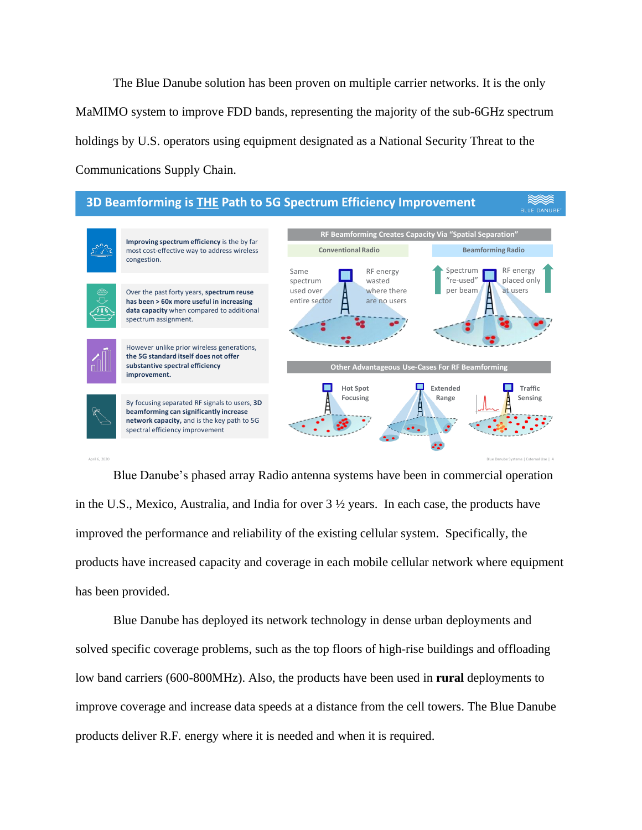The Blue Danube solution has been proven on multiple carrier networks. It is the only MaMIMO system to improve FDD bands, representing the majority of the sub-6GHz spectrum holdings by U.S. operators using equipment designated as a National Security Threat to the Communications Supply Chain.



Blue Danube's phased array Radio antenna systems have been in commercial operation in the U.S., Mexico, Australia, and India for over 3 ½ years. In each case, the products have improved the performance and reliability of the existing cellular system. Specifically, the products have increased capacity and coverage in each mobile cellular network where equipment has been provided.

Blue Danube has deployed its network technology in dense urban deployments and solved specific coverage problems, such as the top floors of high-rise buildings and offloading low band carriers (600-800MHz). Also, the products have been used in **rural** deployments to improve coverage and increase data speeds at a distance from the cell towers. The Blue Danube products deliver R.F. energy where it is needed and when it is required.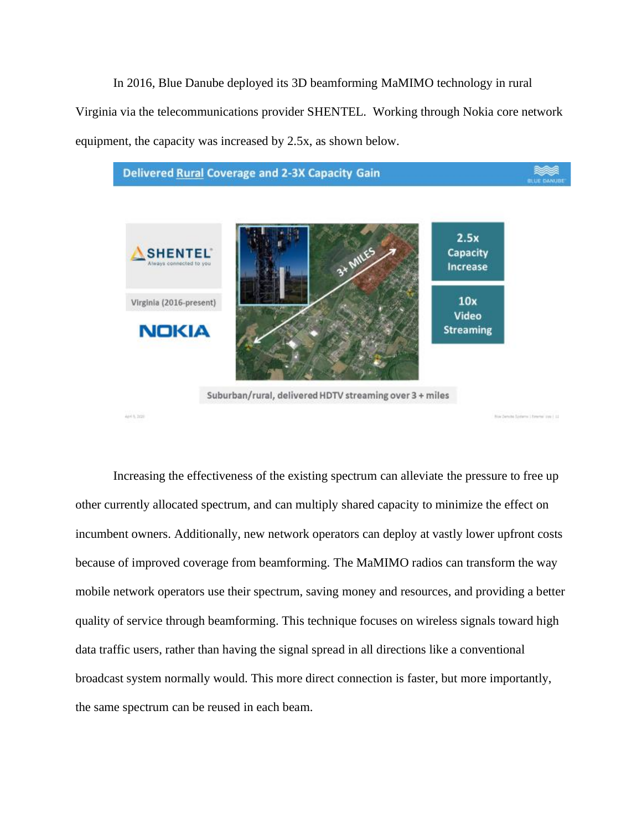In 2016, Blue Danube deployed its 3D beamforming MaMIMO technology in rural Virginia via the telecommunications provider SHENTEL. Working through Nokia core network equipment, the capacity was increased by 2.5x, as shown below.



Increasing the effectiveness of the existing spectrum can alleviate the pressure to free up other currently allocated spectrum, and can multiply shared capacity to minimize the effect on incumbent owners. Additionally, new network operators can deploy at vastly lower upfront costs because of improved coverage from beamforming. The MaMIMO radios can transform the way mobile network operators use their spectrum, saving money and resources, and providing a better quality of service through beamforming. This technique focuses on wireless signals toward high data traffic users, rather than having the signal spread in all directions like a conventional broadcast system normally would. This more direct connection is faster, but more importantly, the same spectrum can be reused in each beam.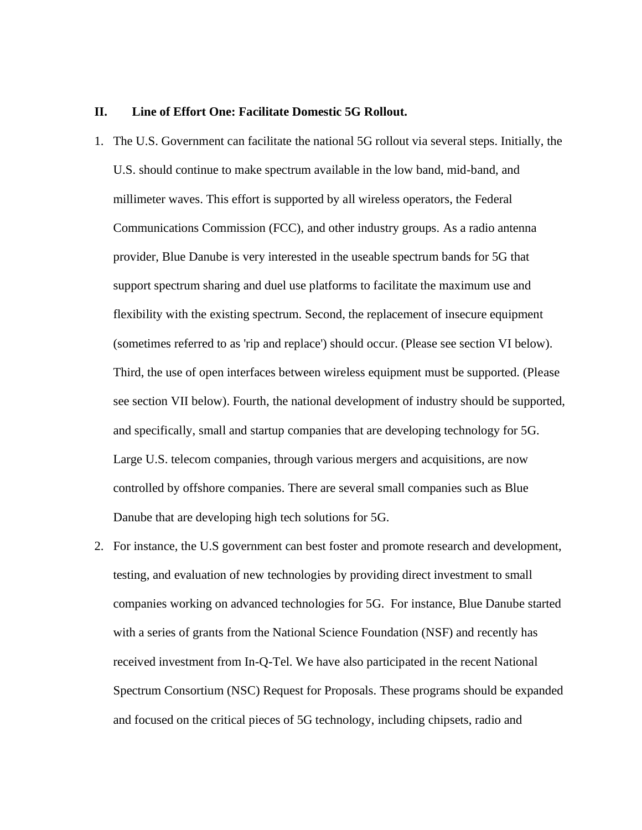#### **II. Line of Effort One: Facilitate Domestic 5G Rollout.**

- 1. The U.S. Government can facilitate the national 5G rollout via several steps. Initially, the U.S. should continue to make spectrum available in the low band, mid-band, and millimeter waves. This effort is supported by all wireless operators, the Federal Communications Commission (FCC), and other industry groups. As a radio antenna provider, Blue Danube is very interested in the useable spectrum bands for 5G that support spectrum sharing and duel use platforms to facilitate the maximum use and flexibility with the existing spectrum. Second, the replacement of insecure equipment (sometimes referred to as 'rip and replace') should occur. (Please see section VI below). Third, the use of open interfaces between wireless equipment must be supported. (Please see section VII below). Fourth, the national development of industry should be supported, and specifically, small and startup companies that are developing technology for 5G. Large U.S. telecom companies, through various mergers and acquisitions, are now controlled by offshore companies. There are several small companies such as Blue Danube that are developing high tech solutions for 5G.
- 2. For instance, the U.S government can best foster and promote research and development, testing, and evaluation of new technologies by providing direct investment to small companies working on advanced technologies for 5G. For instance, Blue Danube started with a series of grants from the National Science Foundation (NSF) and recently has received investment from In-Q-Tel. We have also participated in the recent National Spectrum Consortium (NSC) Request for Proposals. These programs should be expanded and focused on the critical pieces of 5G technology, including chipsets, radio and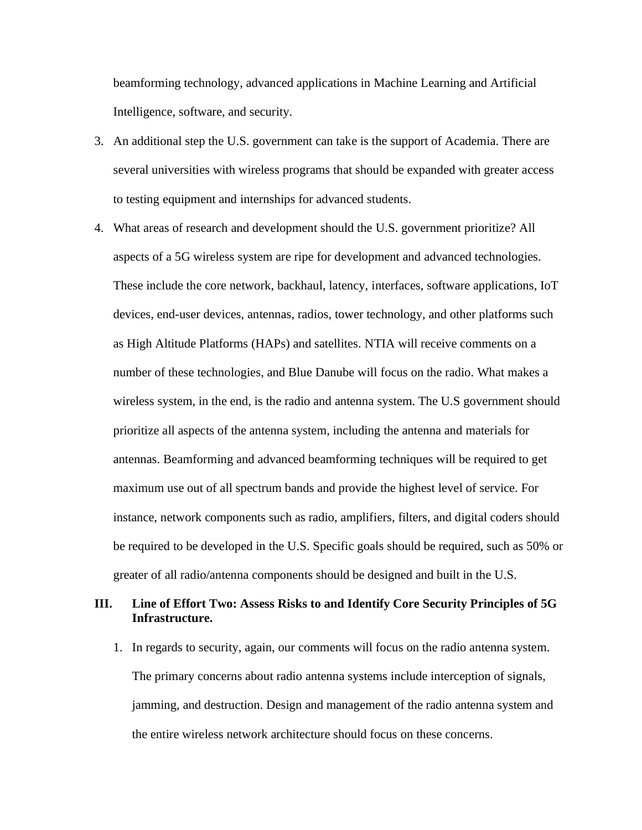beamforming technology, advanced applications in Machine Learning and Artificial Intelligence, software, and security.

- 3. An additional step the U.S. government can take is the support of Academia. There are several universities with wireless programs that should be expanded with greater access to testing equipment and internships for advanced students.
- 4. What areas of research and development should the U.S. government prioritize? All aspects of a 5G wireless system are ripe for development and advanced technologies. These include the core network, backhaul, latency, interfaces, software applications, IoT devices, end-user devices, antennas, radios, tower technology, and other platforms such as High Altitude Platforms (HAPs) and satellites. NTIA will receive comments on a number of these technologies, and Blue Danube will focus on the radio. What makes a wireless system, in the end, is the radio and antenna system. The U.S government should prioritize all aspects of the antenna system, including the antenna and materials for antennas. Beamforming and advanced beamforming techniques will be required to get maximum use out of all spectrum bands and provide the highest level of service. For instance, network components such as radio, amplifiers, filters, and digital coders should be required to be developed in the U.S. Specific goals should be required, such as 50% or greater of all radio/antenna components should be designed and built in the U.S.

## **III. Line of Effort Two: Assess Risks to and Identify Core Security Principles of 5G Infrastructure.**

1. In regards to security, again, our comments will focus on the radio antenna system. The primary concerns about radio antenna systems include interception of signals, jamming, and destruction. Design and management of the radio antenna system and the entire wireless network architecture should focus on these concerns.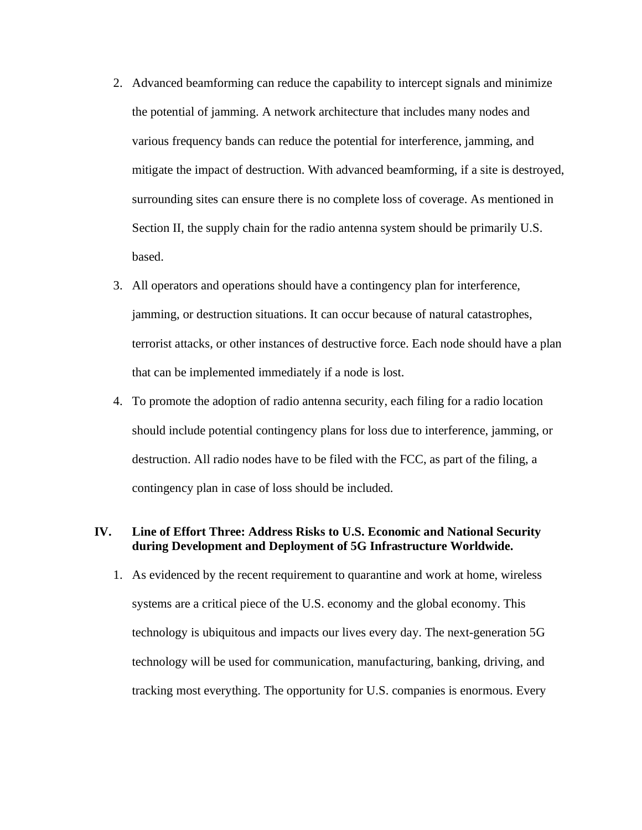- 2. Advanced beamforming can reduce the capability to intercept signals and minimize the potential of jamming. A network architecture that includes many nodes and various frequency bands can reduce the potential for interference, jamming, and mitigate the impact of destruction. With advanced beamforming, if a site is destroyed, surrounding sites can ensure there is no complete loss of coverage. As mentioned in Section II, the supply chain for the radio antenna system should be primarily U.S. based.
- 3. All operators and operations should have a contingency plan for interference, jamming, or destruction situations. It can occur because of natural catastrophes, terrorist attacks, or other instances of destructive force. Each node should have a plan that can be implemented immediately if a node is lost.
- 4. To promote the adoption of radio antenna security, each filing for a radio location should include potential contingency plans for loss due to interference, jamming, or destruction. All radio nodes have to be filed with the FCC, as part of the filing, a contingency plan in case of loss should be included.

## **IV. Line of Effort Three: Address Risks to U.S. Economic and National Security during Development and Deployment of 5G Infrastructure Worldwide.**

1. As evidenced by the recent requirement to quarantine and work at home, wireless systems are a critical piece of the U.S. economy and the global economy. This technology is ubiquitous and impacts our lives every day. The next-generation 5G technology will be used for communication, manufacturing, banking, driving, and tracking most everything. The opportunity for U.S. companies is enormous. Every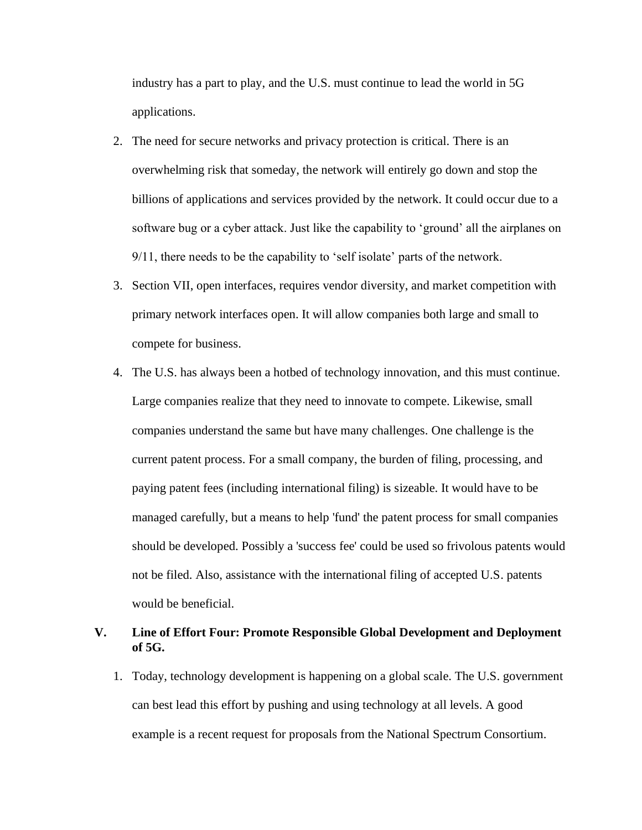industry has a part to play, and the U.S. must continue to lead the world in 5G applications.

- 2. The need for secure networks and privacy protection is critical. There is an overwhelming risk that someday, the network will entirely go down and stop the billions of applications and services provided by the network. It could occur due to a software bug or a cyber attack. Just like the capability to 'ground' all the airplanes on 9/11, there needs to be the capability to 'self isolate' parts of the network.
- 3. Section VII, open interfaces, requires vendor diversity, and market competition with primary network interfaces open. It will allow companies both large and small to compete for business.
- 4. The U.S. has always been a hotbed of technology innovation, and this must continue. Large companies realize that they need to innovate to compete. Likewise, small companies understand the same but have many challenges. One challenge is the current patent process. For a small company, the burden of filing, processing, and paying patent fees (including international filing) is sizeable. It would have to be managed carefully, but a means to help 'fund' the patent process for small companies should be developed. Possibly a 'success fee' could be used so frivolous patents would not be filed. Also, assistance with the international filing of accepted U.S. patents would be beneficial.

# **V. Line of Effort Four: Promote Responsible Global Development and Deployment of 5G.**

1. Today, technology development is happening on a global scale. The U.S. government can best lead this effort by pushing and using technology at all levels. A good example is a recent request for proposals from the National Spectrum Consortium.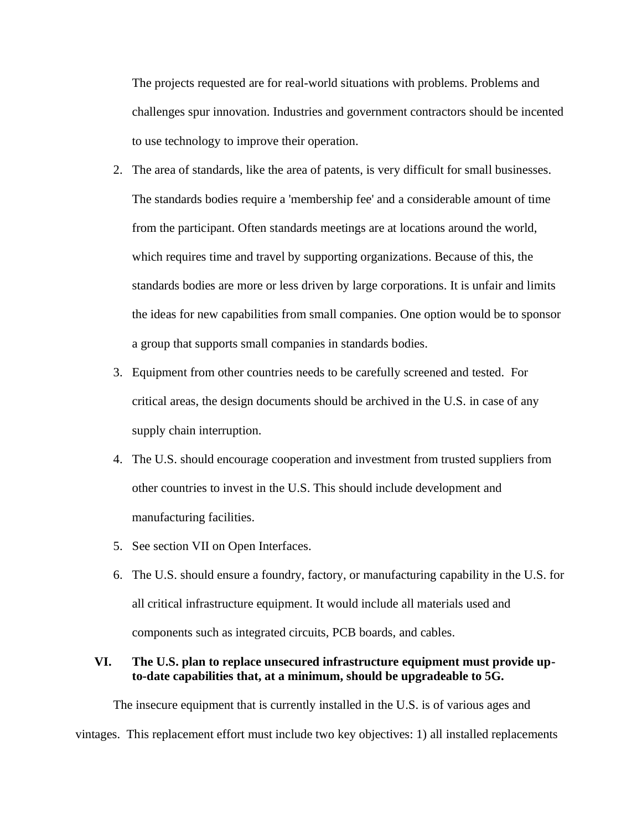The projects requested are for real-world situations with problems. Problems and challenges spur innovation. Industries and government contractors should be incented to use technology to improve their operation.

- 2. The area of standards, like the area of patents, is very difficult for small businesses. The standards bodies require a 'membership fee' and a considerable amount of time from the participant. Often standards meetings are at locations around the world, which requires time and travel by supporting organizations. Because of this, the standards bodies are more or less driven by large corporations. It is unfair and limits the ideas for new capabilities from small companies. One option would be to sponsor a group that supports small companies in standards bodies.
- 3. Equipment from other countries needs to be carefully screened and tested. For critical areas, the design documents should be archived in the U.S. in case of any supply chain interruption.
- 4. The U.S. should encourage cooperation and investment from trusted suppliers from other countries to invest in the U.S. This should include development and manufacturing facilities.
- 5. See section VII on Open Interfaces.
- 6. The U.S. should ensure a foundry, factory, or manufacturing capability in the U.S. for all critical infrastructure equipment. It would include all materials used and components such as integrated circuits, PCB boards, and cables.

# **VI. The U.S. plan to replace unsecured infrastructure equipment must provide upto-date capabilities that, at a minimum, should be upgradeable to 5G.**

The insecure equipment that is currently installed in the U.S. is of various ages and vintages. This replacement effort must include two key objectives: 1) all installed replacements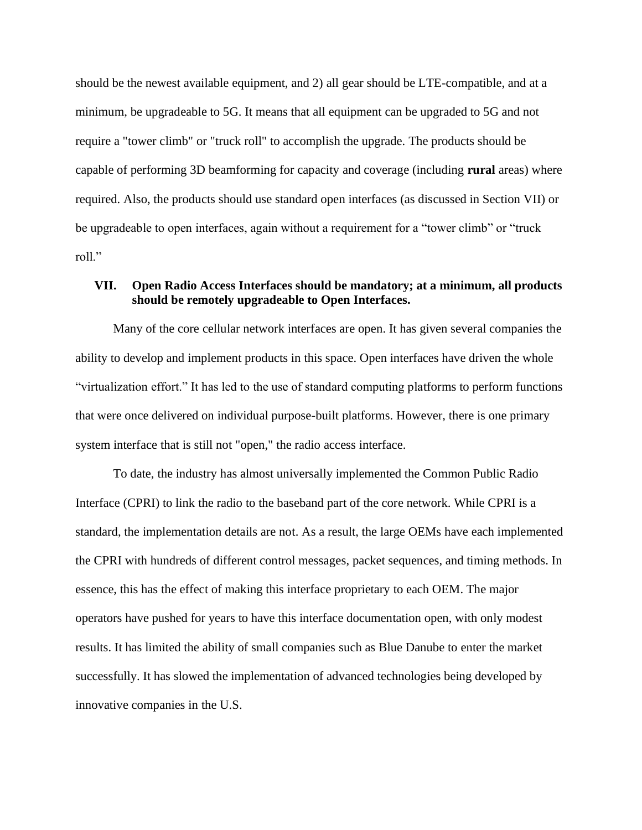should be the newest available equipment, and 2) all gear should be LTE-compatible, and at a minimum, be upgradeable to 5G. It means that all equipment can be upgraded to 5G and not require a "tower climb" or "truck roll" to accomplish the upgrade. The products should be capable of performing 3D beamforming for capacity and coverage (including **rural** areas) where required. Also, the products should use standard open interfaces (as discussed in Section VII) or be upgradeable to open interfaces, again without a requirement for a "tower climb" or "truck roll."

# **VII. Open Radio Access Interfaces should be mandatory; at a minimum, all products should be remotely upgradeable to Open Interfaces.**

Many of the core cellular network interfaces are open. It has given several companies the ability to develop and implement products in this space. Open interfaces have driven the whole "virtualization effort." It has led to the use of standard computing platforms to perform functions that were once delivered on individual purpose-built platforms. However, there is one primary system interface that is still not "open," the radio access interface.

To date, the industry has almost universally implemented the Common Public Radio Interface (CPRI) to link the radio to the baseband part of the core network. While CPRI is a standard, the implementation details are not. As a result, the large OEMs have each implemented the CPRI with hundreds of different control messages, packet sequences, and timing methods. In essence, this has the effect of making this interface proprietary to each OEM. The major operators have pushed for years to have this interface documentation open, with only modest results. It has limited the ability of small companies such as Blue Danube to enter the market successfully. It has slowed the implementation of advanced technologies being developed by innovative companies in the U.S.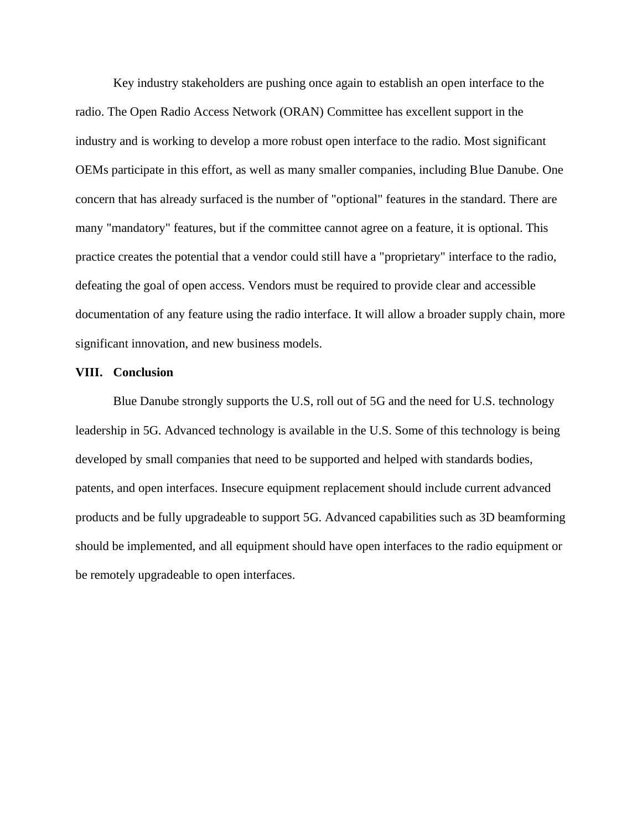Key industry stakeholders are pushing once again to establish an open interface to the radio. The Open Radio Access Network (ORAN) Committee has excellent support in the industry and is working to develop a more robust open interface to the radio. Most significant OEMs participate in this effort, as well as many smaller companies, including Blue Danube. One concern that has already surfaced is the number of "optional" features in the standard. There are many "mandatory" features, but if the committee cannot agree on a feature, it is optional. This practice creates the potential that a vendor could still have a "proprietary" interface to the radio, defeating the goal of open access. Vendors must be required to provide clear and accessible documentation of any feature using the radio interface. It will allow a broader supply chain, more significant innovation, and new business models.

#### **VIII. Conclusion**

Blue Danube strongly supports the U.S, roll out of 5G and the need for U.S. technology leadership in 5G. Advanced technology is available in the U.S. Some of this technology is being developed by small companies that need to be supported and helped with standards bodies, patents, and open interfaces. Insecure equipment replacement should include current advanced products and be fully upgradeable to support 5G. Advanced capabilities such as 3D beamforming should be implemented, and all equipment should have open interfaces to the radio equipment or be remotely upgradeable to open interfaces.